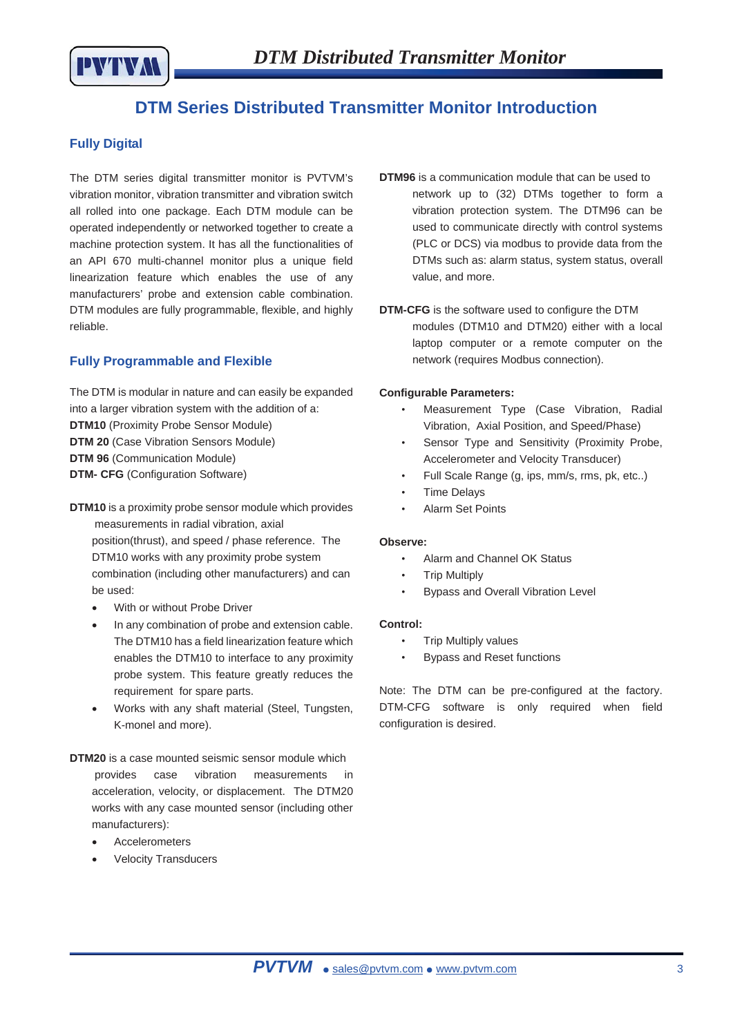

# **DTM Series Distributed Transmitter Monitor Introduction**

### **Fully Digital**

The DTM series digital transmitter monitor is PVTVM's vibration monitor, vibration transmitter and vibration switch all rolled into one package. Each DTM module can be operated independently or networked together to create a machine protection system. It has all the functionalities of an API 670 multi-channel monitor plus a unique field linearization feature which enables the use of any manufacturers' probe and extension cable combination. DTM modules are fully programmable, flexible, and highly reliable.

### **Fully Programmable and Flexible**

The DTM is modular in nature and can easily be expanded into a larger vibration system with the addition of a: **DTM10** (Proximity Probe Sensor Module) **DTM 20** (Case Vibration Sensors Module) **DTM 96** (Communication Module) **DTM- CFG** (Configuration Software)

- **DTM10** is a proximity probe sensor module which provides measurements in radial vibration, axial position(thrust), and speed / phase reference. The DTM10 works with any proximity probe system combination (including other manufacturers) and can be used:
	- With or without Probe Driver
	- In any combination of probe and extension cable. The DTM10 has a field linearization feature which enables the DTM10 to interface to any proximity probe system. This feature greatly reduces the requirement for spare parts.
	- Works with any shaft material (Steel, Tungsten, K-monel and more).
- **DTM20** is a case mounted seismic sensor module which provides case vibration measurements in acceleration, velocity, or displacement. The DTM20 works with any case mounted sensor (including other manufacturers):
	- **Accelerometers**
	- **Velocity Transducers**
- **DTM96** is a communication module that can be used to network up to (32) DTMs together to form a vibration protection system. The DTM96 can be used to communicate directly with control systems (PLC or DCS) via modbus to provide data from the DTMs such as: alarm status, system status, overall value, and more.
- **DTM-CFG** is the software used to configure the DTM modules (DTM10 and DTM20) either with a local laptop computer or a remote computer on the network (requires Modbus connection).

### **Configurable Parameters:**

- Measurement Type (Case Vibration, Radial Vibration, Axial Position, and Speed/Phase)
- Sensor Type and Sensitivity (Proximity Probe, Accelerometer and Velocity Transducer)
- Full Scale Range (g, ips, mm/s, rms, pk, etc..)
- **Time Delays**
- Alarm Set Points

### **Observe:**

- Alarm and Channel OK Status
- Trip Multiply
- Bypass and Overall Vibration Level

### **Control:**

- Trip Multiply values
- Bypass and Reset functions

Note: The DTM can be pre-configured at the factory. DTM-CFG software is only required when field configuration is desired.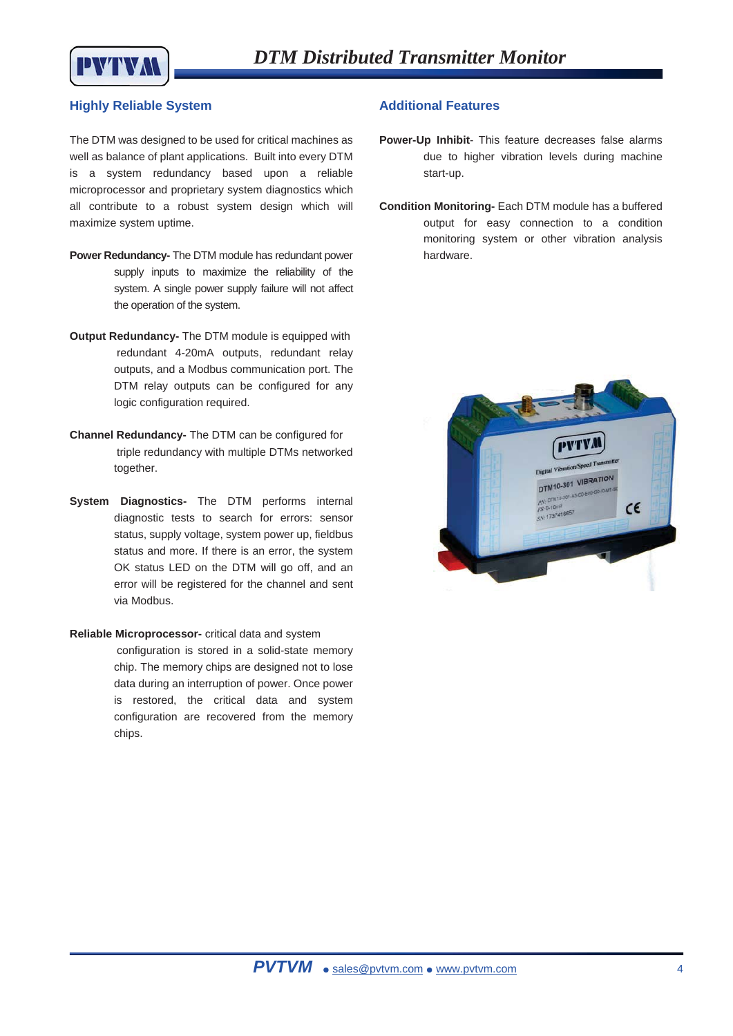

### **Highly Reliable System**

The DTM was designed to be used for critical machines as well as balance of plant applications. Built into every DTM is a system redundancy based upon a reliable microprocessor and proprietary system diagnostics which all contribute to a robust system design which will maximize system uptime.

- **Power Redundancy-** The DTM module has redundant power supply inputs to maximize the reliability of the system. A single power supply failure will not affect the operation of the system.
- **Output Redundancy-** The DTM module is equipped with redundant 4-20mA outputs, redundant relay outputs, and a Modbus communication port. The DTM relay outputs can be configured for any logic configuration required.
- **Channel Redundancy-** The DTM can be configured for triple redundancy with multiple DTMs networked together.
- **System Diagnostics-** The DTM performs internal diagnostic tests to search for errors: sensor status, supply voltage, system power up, fieldbus status and more. If there is an error, the system OK status LED on the DTM will go off, and an error will be registered for the channel and sent via Modbus.

### **Reliable Microprocessor-** critical data and system

configuration is stored in a solid-state memory chip. The memory chips are designed not to lose data during an interruption of power. Once power is restored, the critical data and system configuration are recovered from the memory chips.

### **Additional Features**

- **Power-Up Inhibit** This feature decreases false alarms due to higher vibration levels during machine start-up.
- **Condition Monitoring-** Each DTM module has a buffered output for easy connection to a condition monitoring system or other vibration analysis hardware.

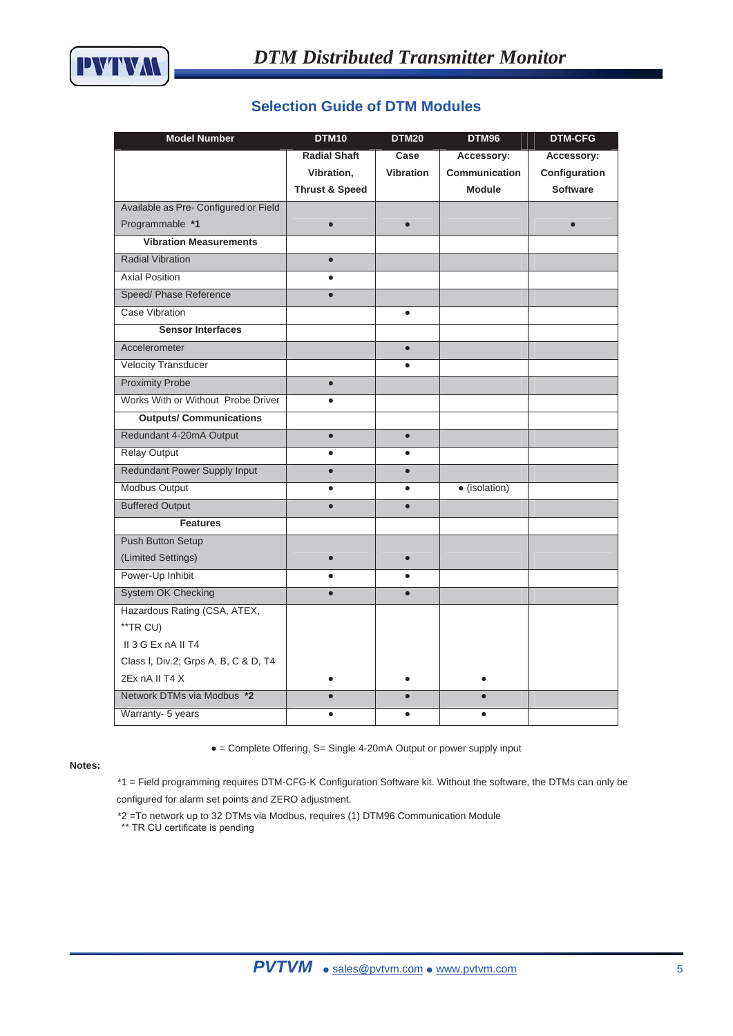### **Selection Guide of DTM Modules**

| <b>Model Number</b>                   | <b>DTM10</b>              | <b>DTM20</b>     | DTM96         | <b>DTM-CFG</b>  |
|---------------------------------------|---------------------------|------------------|---------------|-----------------|
|                                       | <b>Radial Shaft</b>       | Case             | Accessory:    | Accessory:      |
|                                       | Vibration,                | <b>Vibration</b> | Communication | Configuration   |
|                                       | <b>Thrust &amp; Speed</b> |                  | <b>Module</b> | <b>Software</b> |
| Available as Pre- Configured or Field |                           |                  |               |                 |
| Programmable *1                       |                           |                  |               |                 |
| <b>Vibration Measurements</b>         |                           |                  |               |                 |
| <b>Radial Vibration</b>               | $\bullet$                 |                  |               |                 |
| <b>Axial Position</b>                 | $\bullet$                 |                  |               |                 |
| Speed/ Phase Reference                | $\bullet$                 |                  |               |                 |
| <b>Case Vibration</b>                 |                           | $\bullet$        |               |                 |
| <b>Sensor Interfaces</b>              |                           |                  |               |                 |
| Accelerometer                         |                           | $\bullet$        |               |                 |
| <b>Velocity Transducer</b>            |                           | $\bullet$        |               |                 |
| <b>Proximity Probe</b>                | $\bullet$                 |                  |               |                 |
| Works With or Without Probe Driver    | $\bullet$                 |                  |               |                 |
| <b>Outputs/ Communications</b>        |                           |                  |               |                 |
| Redundant 4-20mA Output               | $\bullet$                 | $\bullet$        |               |                 |
| <b>Relay Output</b>                   | $\bullet$                 | $\bullet$        |               |                 |
| <b>Redundant Power Supply Input</b>   | $\bullet$                 | $\bullet$        |               |                 |
| Modbus Output                         | $\bullet$                 | $\bullet$        | · (isolation) |                 |
| <b>Buffered Output</b>                |                           | $\bullet$        |               |                 |
| <b>Features</b>                       |                           |                  |               |                 |
| <b>Push Button Setup</b>              |                           |                  |               |                 |
| (Limited Settings)                    |                           |                  |               |                 |
| Power-Up Inhibit                      |                           |                  |               |                 |
| <b>System OK Checking</b>             | $\bullet$                 | $\bullet$        |               |                 |
| Hazardous Rating (CSA, ATEX,          |                           |                  |               |                 |
| **TR CU)                              |                           |                  |               |                 |
| II 3 G Ex nA II T4                    |                           |                  |               |                 |
| Class I, Div.2; Grps A, B, C & D, T4  |                           |                  |               |                 |
| 2Ex nA II T4 X                        | ٠                         |                  |               |                 |
| Network DTMs via Modbus *2            |                           | $\bullet$        |               |                 |
| Warranty- 5 years                     |                           |                  |               |                 |

#### **Notes:**

• = Complete Offering, S= Single 4-20mA Output or power supply input

\*1 = Field programming requires DTM-CFG-K Configuration Software kit. Without the software, the DTMs can only be configured for alarm set points and ZERO adjustment.

\*2 =To network up to 32 DTMs via Modbus, requires (1) DTM96 Communication Module \*\* TR CU certificate is pending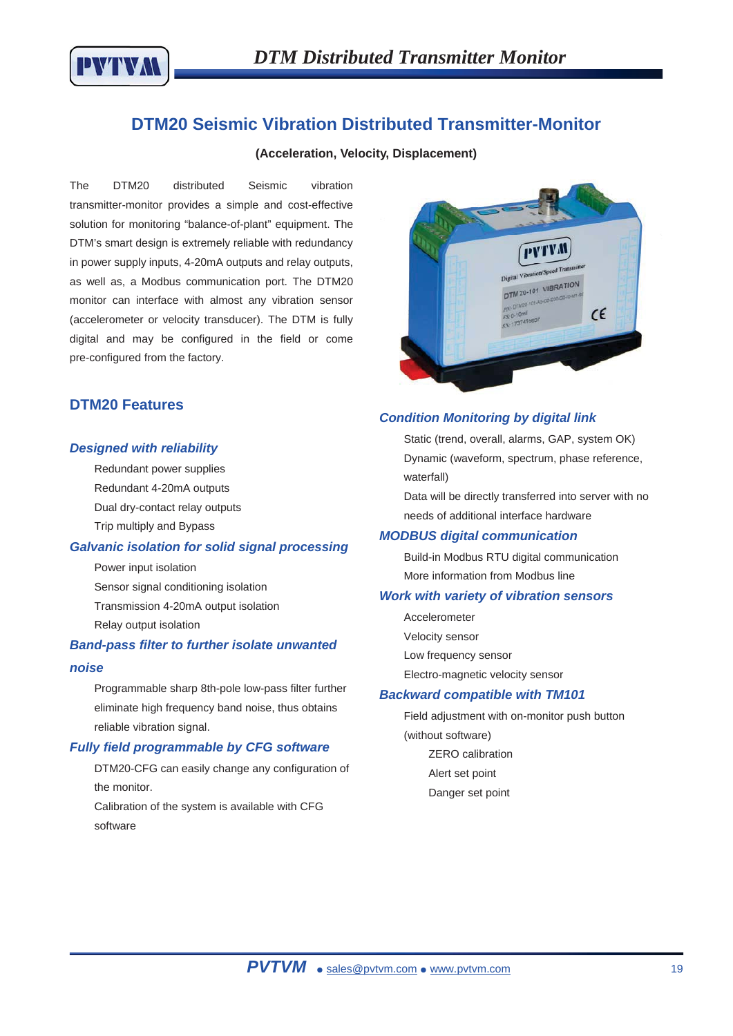

## **DTM20 Seismic Vibration Distributed Transmitter-Monitor**

### **(Acceleration, Velocity, Displacement)**

The DTM20 distributed Seismic vibration transmitter-monitor provides a simple and cost-effective solution for monitoring "balance-of-plant" equipment. The DTM's smart design is extremely reliable with redundancy in power supply inputs, 4-20mA outputs and relay outputs, as well as, a Modbus communication port. The DTM20 monitor can interface with almost any vibration sensor (accelerometer or velocity transducer). The DTM is fully digital and may be configured in the field or come pre-configured from the factory.



### **DTM20 Features**

#### *Designed with reliability*

Redundant power supplies Redundant 4-20mA outputs

- Dual dry-contact relay outputs
- Trip multiply and Bypass

### *Galvanic isolation for solid signal processing*

Power input isolation Sensor signal conditioning isolation Transmission 4-20mA output isolation Relay output isolation

### *Band-pass filter to further isolate unwanted*

### *noise*

Programmable sharp 8th-pole low-pass filter further eliminate high frequency band noise, thus obtains reliable vibration signal.

### *Fully field programmable by CFG software*

DTM20-CFG can easily change any configuration of the monitor.

Calibration of the system is available with CFG software

### *Condition Monitoring by digital link*

Static (trend, overall, alarms, GAP, system OK) Dynamic (waveform, spectrum, phase reference, waterfall)

Data will be directly transferred into server with no needs of additional interface hardware

#### *MODBUS digital communication*

Build-in Modbus RTU digital communication More information from Modbus line

#### *Work with variety of vibration sensors*

Accelerometer Velocity sensor Low frequency sensor Electro-magnetic velocity sensor

#### *Backward compatible with TM101*

Field adjustment with on-monitor push button (without software) ZERO calibration Alert set point Danger set point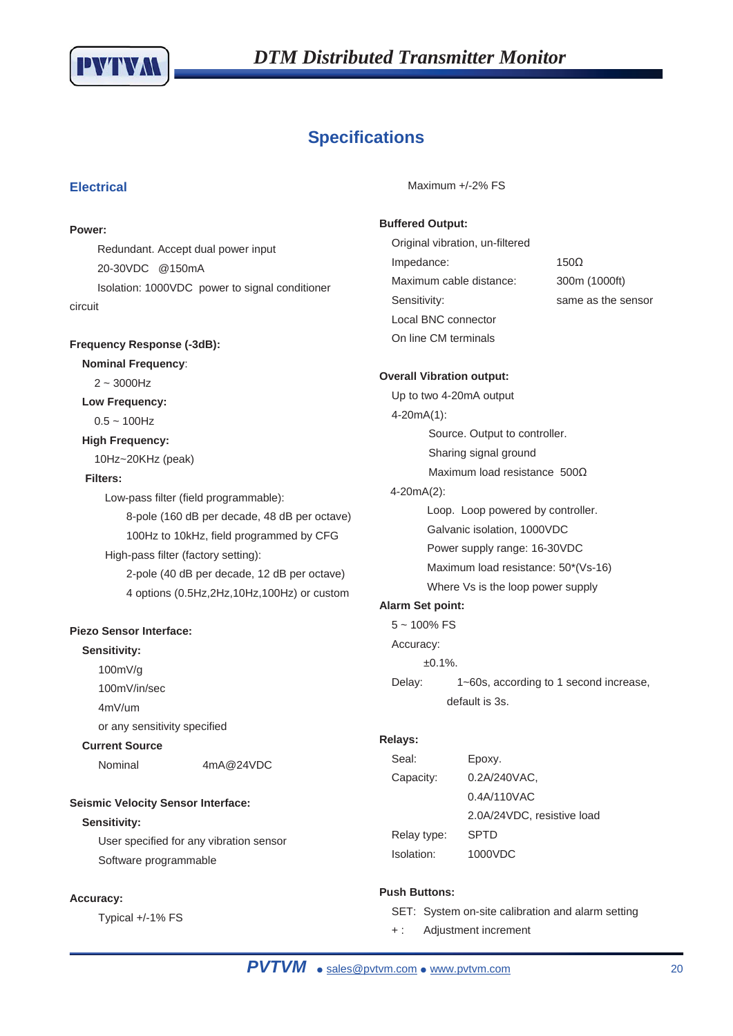

# **Specifications**

### **Electrical**

#### **Power:**

Redundant. Accept dual power input 20-30VDC @150mA Isolation: 1000VDC power to signal conditioner circuit

### **Frequency Response (-3dB):**

**Nominal Frequency**:

### $2 - 3000$ Hz

### **Low Frequency:**

 $0.5 - 100$ Hz

### **High Frequency:**

10Hz~20KHz (peak)

### **Filters:**

Low-pass filter (field programmable):

- 8-pole (160 dB per decade, 48 dB per octave) 100Hz to 10kHz, field programmed by CFG
- High-pass filter (factory setting):

2-pole (40 dB per decade, 12 dB per octave) 4 options (0.5Hz,2Hz,10Hz,100Hz) or custom

### **Piezo Sensor Interface:**

### **Sensitivity:**

- 100mV/g
- 100mV/in/sec
- 4mV/um

or any sensitivity specified

### **Current Source**

Nominal 4mA@24VDC

### **Seismic Velocity Sensor Interface:**

### **Sensitivity:**

User specified for any vibration sensor Software programmable

### **Accuracy:**

Typical +/-1% FS

Maximum +/-2% FS

### **Buffered Output:**

Original vibration, un-filtered  $Impedance: 150 $\Omega$$ Maximum cable distance: 300m (1000ft) Sensitivity: Sensitivity: Sensitivity: Sensor Local BNC connector On line CM terminals

#### **Overall Vibration output:**

Up to two 4-20mA output 4-20mA(1): Source. Output to controller. Sharing signal ground Maximum load resistance  $500\Omega$ 4-20mA(2): Loop. Loop powered by controller. Galvanic isolation, 1000VDC Power supply range: 16-30VDC Maximum load resistance: 50\*(Vs-16) Where Vs is the loop power supply

### **Alarm Set point:**

- $5 100\%$  FS
- Accuracy:

±0.1%.

Delay: 1~60s, according to 1 second increase, default is 3s.

### **Relays:**

| Seal:       | Epoxy.                     |
|-------------|----------------------------|
| Capacity:   | 0.2A/240VAC,               |
|             | 0.4A/110VAC                |
|             | 2.0A/24VDC, resistive load |
| Relay type: | <b>SPTD</b>                |
| Isolation:  | 1000VDC                    |

### **Push Buttons:**

- SET: System on-site calibration and alarm setting
- + : Adjustment increment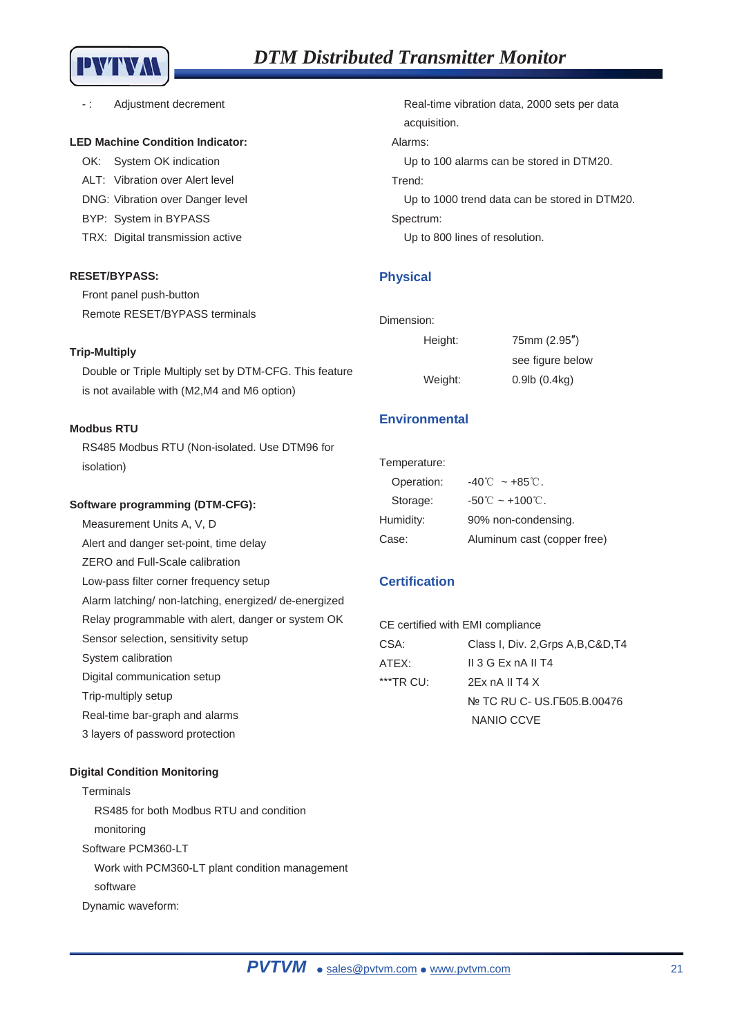

-: Adjustment decrement

#### **LED Machine Condition Indicator:**

OK: System OK indication ALT: Vibration over Alert level DNG: Vibration over Danger level BYP: System in BYPASS TRX: Digital transmission active

### **RESET/BYPASS:**

Front panel push-button Remote RESET/BYPASS terminals

#### **Trip-Multiply**

Double or Triple Multiply set by DTM-CFG. This feature is not available with (M2,M4 and M6 option)

### **Modbus RTU**

RS485 Modbus RTU (Non-isolated. Use DTM96 for isolation)

### **Software programming (DTM-CFG):**

Measurement Units A, V, D Alert and danger set-point, time delay ZERO and Full-Scale calibration Low-pass filter corner frequency setup Alarm latching/ non-latching, energized/ de-energized Relay programmable with alert, danger or system OK Sensor selection, sensitivity setup System calibration Digital communication setup Trip-multiply setup Real-time bar-graph and alarms

Real-time vibration data, 2000 sets per data acquisition. Alarms:

Up to 100 alarms can be stored in DTM20.

### Trend:

Up to 1000 trend data can be stored in DTM20. Spectrum:

Up to 800 lines of resolution.

### **Physical**

| Dimension: |  |
|------------|--|
| Height:    |  |

Weight:

| 75mm (2.95")           |
|------------------------|
| see figure below       |
| $0.9$ lb $(0.4$ kg $)$ |

### **Environmental**

| Temperature: |                                      |
|--------------|--------------------------------------|
| Operation:   | $-40^{\circ}$ $\sim$ $+85^{\circ}$ . |
| Storage:     | $-50^{\circ}$ C ~ $+100^{\circ}$ C.  |
| Humidity:    | 90% non-condensing.                  |
| Case:        | Aluminum cast (copper free)          |

### **Certification**

| CE certified with EMI compliance |                                     |
|----------------------------------|-------------------------------------|
| CSA:                             | Class I, Div. 2, Grps A, B, C&D, T4 |
| ATEX:                            | $II$ 3 G Ex nA II T4                |
| $**$ TR CU:                      | 2Fx nA II T4 X                      |
|                                  | No TC RU C- US. F505. B. 00476      |
|                                  | NANIO CCVE                          |

#### **Digital Condition Monitoring**

3 layers of password protection

Terminals RS485 for both Modbus RTU and condition monitoring Software PCM360-LT Work with PCM360-LT plant condition management software Dynamic waveform: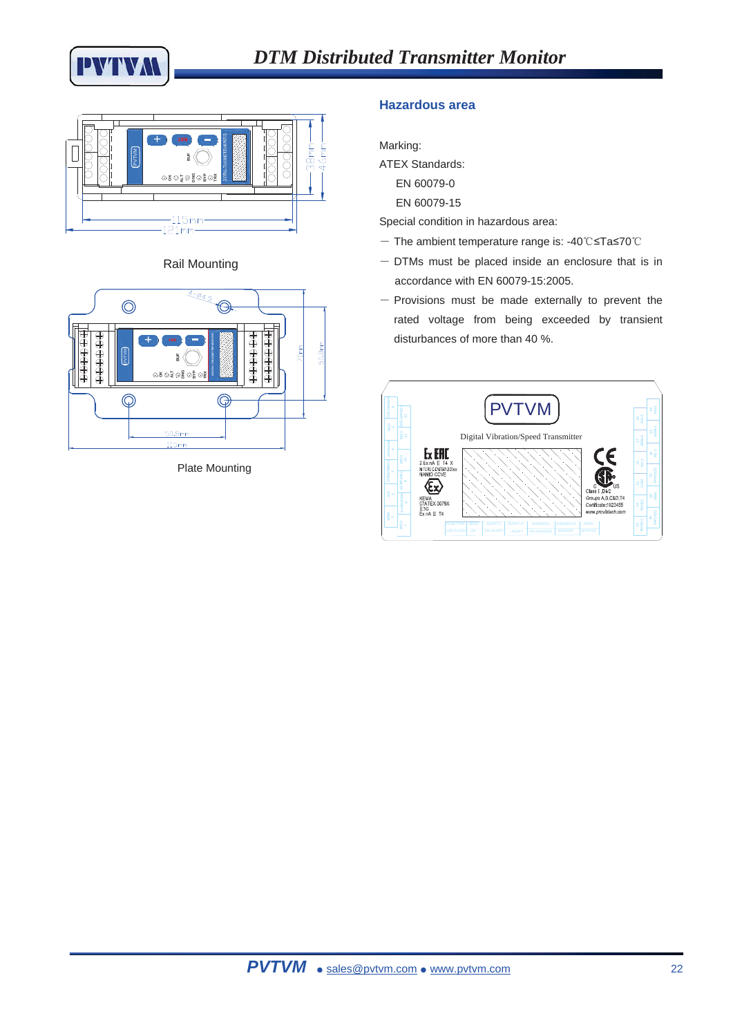







Plate Mounting

### **Hazardous area**

Marking:

ATEX Standards:

EN 60079-0

EN 60079-15

Special condition in hazardous area:

- $-$  The ambient temperature range is: -40°C $\leq$ Ta $\leq$ 70°C
- $-$  DTMs must be placed inside an enclosure that is in accordance with EN 60079-15:2005.
- $-$  Provisions must be made externally to prevent the rated voltage from being exceeded by transient disturbances of more than 40 %.

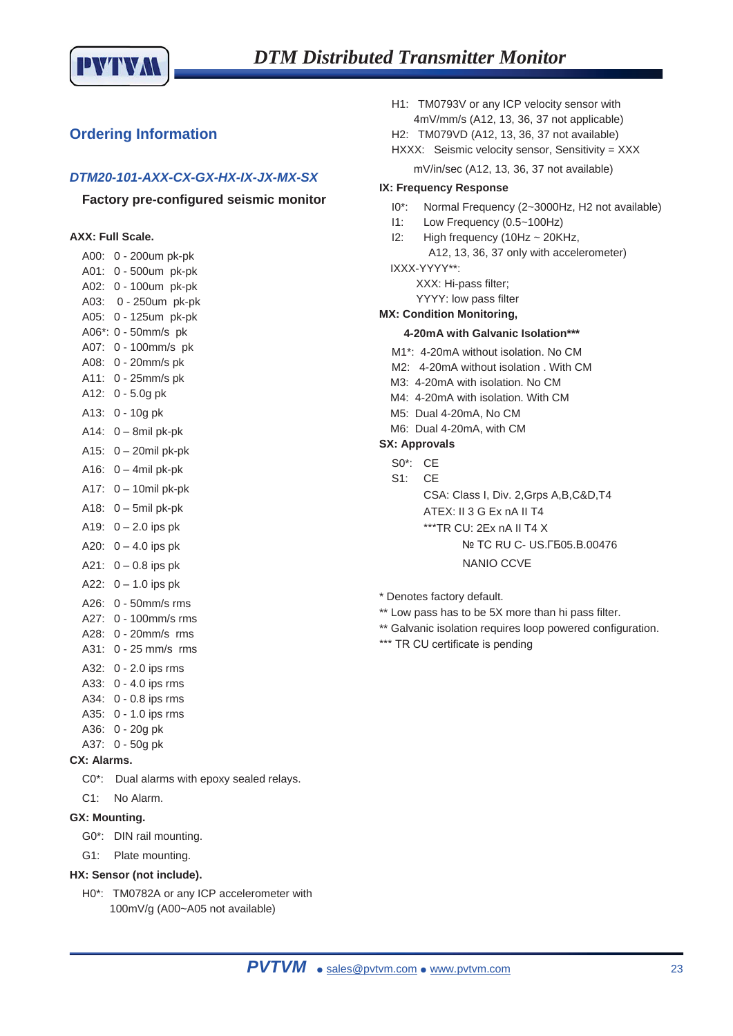

### **Ordering Information**

### *DTM20-101-AXX-CX-GX-HX-IX-JX-MX-SX*

### **Factory pre-configured seismic monitor**

### **AXX: Full Scale.**

| A00:     | 0 - 200um pk-pk     |
|----------|---------------------|
| A01:     | 0 - 500um pk-pk     |
| A02:     | 0 - 100um pk-pk     |
| A03:     | 0 - 250um pk-pk     |
| A05:     | 0 - 125um pk-pk     |
| $A06$ *: | $0 - 50$ mm/s pk    |
| A07:     | 0 - 100mm/s pk      |
| A08:     | 0 - 20mm/s pk       |
| A11:     | 0 - 25mm/s pk       |
| A12:     | $0 - 5.0g$ pk       |
| A13:     | 0 - 10g pk          |
| A14:     | 0 - 8mil pk-pk      |
| A15:     | $0 - 20$ mil pk-pk  |
| A16:     | $0 - 4$ mil pk-pk   |
| A17:     | $0 - 10$ mil pk-pk  |
| A18:     | 0 - 5mil pk-pk      |
| A19:     | $0 - 2.0$ ips pk    |
| A20:     | $0 - 4.0$ ips pk    |
| A21:     | $0 - 0.8$ ips pk    |
| A22:     | $0 - 1.0$ ips pk    |
| A26:     | $0 - 50$ mm/s $rms$ |
| A27:     | 0 - 100mm/s rms     |
| A28:     | $0 - 20$ mm/s $rms$ |
| A31:     | $0 - 25$ mm/s $rms$ |
| A32:     | $0 - 2.0$ ips rms   |
| A33:     | $0 - 4.0$ ips rms   |
| A34:     | 0 - 0.8 ips rms     |
| A35:     | 0 - 1.0 ips rms     |
| A36:     | 0 - 20g pk          |
| A37:     | 0 - 50g pk          |

- **CX: Alarms.** 
	- C0\*: Dual alarms with epoxy sealed relays.
- C1: No Alarm.
- **GX: Mounting.** 
	- G0\*: DIN rail mounting.
	- G1: Plate mounting.

### **HX: Sensor (not include).**

H0\*: TM0782A or any ICP accelerometer with 100mV/g (A00~A05 not available)

H1: TM0793V or any ICP velocity sensor with 4mV/mm/s (A12, 13, 36, 37 not applicable)

H2: TM079VD (A12, 13, 36, 37 not available)

- HXXX: Seismic velocity sensor, Sensitivity = XXX
	- mV/in/sec (A12, 13, 36, 37 not available)

### **IX: Frequency Response**

- I0\*: Normal Frequency (2~3000Hz, H2 not available)
- I1: Low Frequency (0.5~100Hz)
- I2: High frequency (10Hz ~ 20KHz, A12, 13, 36, 37 only with accelerometer) IXXX-YYYY\*\*:
	- XXX: Hi-pass filter;

YYYY: low pass filter

#### **MX: Condition Monitoring,**

#### **4-20mA with Galvanic Isolation\*\*\***

- M1\*: 4-20mA without isolation. No CM
- M2: 4-20mA without isolation . With CM
- M3: 4-20mA with isolation. No CM
- M4: 4-20mA with isolation. With CM
- M5: Dual 4-20mA, No CM
- M6: Dual 4-20mA, with CM

### **SX: Approvals**

- S0\*: CE
- S1: CE

CSA: Class I, Div. 2,Grps A,B,C&D,T4

ATEX: II 3 G Ex nA II T4

- $***$ TR CU: 2Ex nA II T4 X
	- Nº TC RU C- US. F505.B.00476

#### NANIO CCVE

\* Denotes factory default.

- \*\* Low pass has to be 5X more than hi pass filter.
- \*\* Galvanic isolation requires loop powered configuration.
- \*\*\* TR CU certificate is pending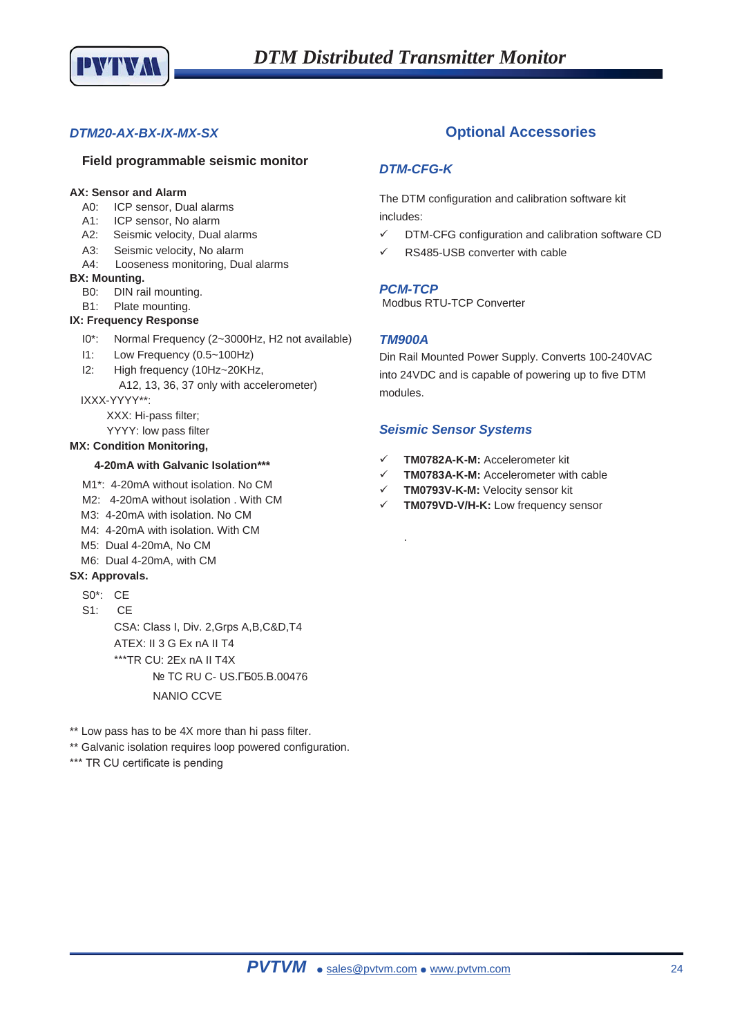

### *DTM20-AX-BX-IX-MX-SX*

### **Field programmable seismic monitor**

#### **AX: Sensor and Alarm**

- A0: ICP sensor, Dual alarms
- A1: ICP sensor, No alarm
- A2: Seismic velocity, Dual alarms
- A3: Seismic velocity, No alarm
- A4: Looseness monitoring, Dual alarms

#### **BX: Mounting.**

- B0: DIN rail mounting.
- B1: Plate mounting.

#### **IX: Frequency Response**

- I0\*: Normal Frequency (2~3000Hz, H2 not available)
- I1: Low Frequency (0.5~100Hz)
- I2: High frequency (10Hz~20KHz,
- A12, 13, 36, 37 only with accelerometer) IXXX-YYYY\*\*:
	- XXX: Hi-pass filter;
		- YYYY: low pass filter

### **MX: Condition Monitoring,**

#### **4-20mA with Galvanic Isolation\*\*\***

- M1\*: 4-20mA without isolation. No CM
- M2: 4-20mA without isolation . With CM
- M3: 4-20mA with isolation. No CM
- M4: 4-20mA with isolation. With CM
- M5: Dual 4-20mA, No CM
- M6: Dual 4-20mA, with CM

### **SX: Approvals.**

- S0\*: CE
- S1: CE

CSA: Class I, Div. 2,Grps A,B,C&D,T4 ATEX: II 3 G Ex nA II T4 \*\*\*TR CU: 2Ex nA II T4X Nº TC RU C- US. F505. B.00476 NANIO CCVE

\*\* Low pass has to be 4X more than hi pass filter.

\*\* Galvanic isolation requires loop powered configuration.

\*\*\* TR CU certificate is pending

### **Optional Accessories**

### *DTM-CFG-K*

The DTM configuration and calibration software kit includes:

- $\checkmark$  DTM-CFG configuration and calibration software CD
- RS485-USB converter with cable

### *PCM-TCP*

Modbus RTU-TCP Converter

### *TM900A*

.

Din Rail Mounted Power Supply. Converts 100-240VAC into 24VDC and is capable of powering up to five DTM modules.

### *Seismic Sensor Systems*

- 9 **TM0782A-K-M:** Accelerometer kit
- 9 **TM0783A-K-M:** Accelerometer with cable
- **TM0793V-K-M: Velocity sensor kit**
- 9 **TM079VD-V/H-K:** Low frequency sensor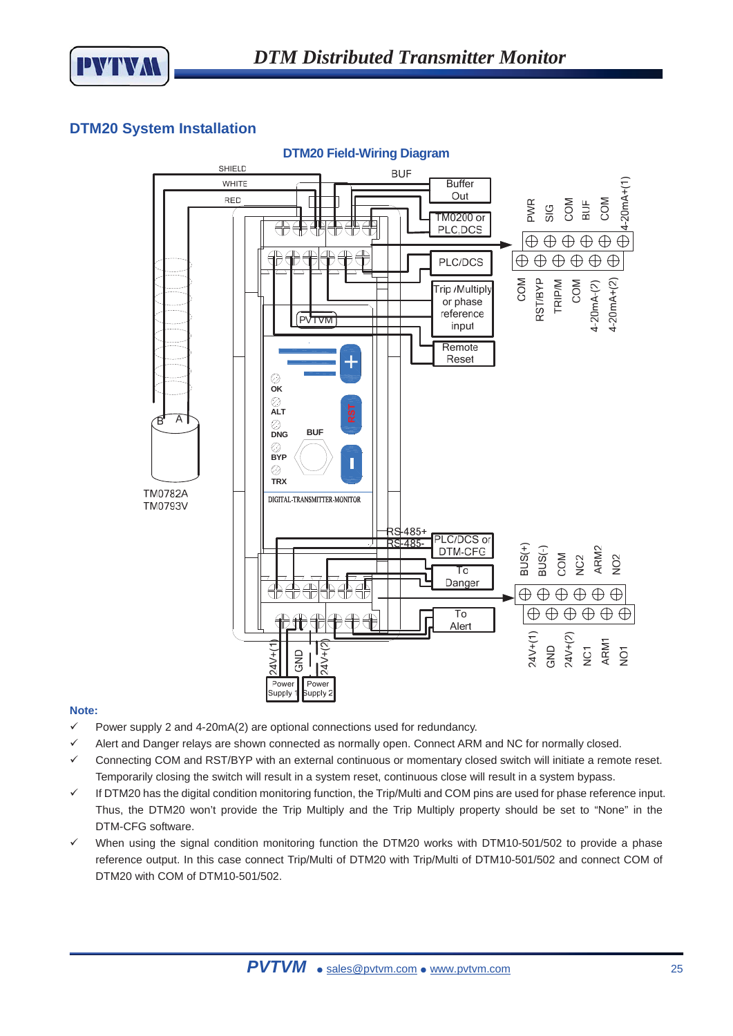

### **DTM20 System Installation**



### **Note:**

- $\checkmark$  Power supply 2 and 4-20mA(2) are optional connections used for redundancy.
- $\checkmark$  Alert and Danger relays are shown connected as normally open. Connect ARM and NC for normally closed.
- 9 Connecting COM and RST/BYP with an external continuous or momentary closed switch will initiate a remote reset. Temporarily closing the switch will result in a system reset, continuous close will result in a system bypass.
- $\checkmark$  If DTM20 has the digital condition monitoring function, the Trip/Multi and COM pins are used for phase reference input. Thus, the DTM20 won't provide the Trip Multiply and the Trip Multiply property should be set to "None" in the DTM-CFG software.
- $\checkmark$  When using the signal condition monitoring function the DTM20 works with DTM10-501/502 to provide a phase reference output. In this case connect Trip/Multi of DTM20 with Trip/Multi of DTM10-501/502 and connect COM of DTM20 with COM of DTM10-501/502.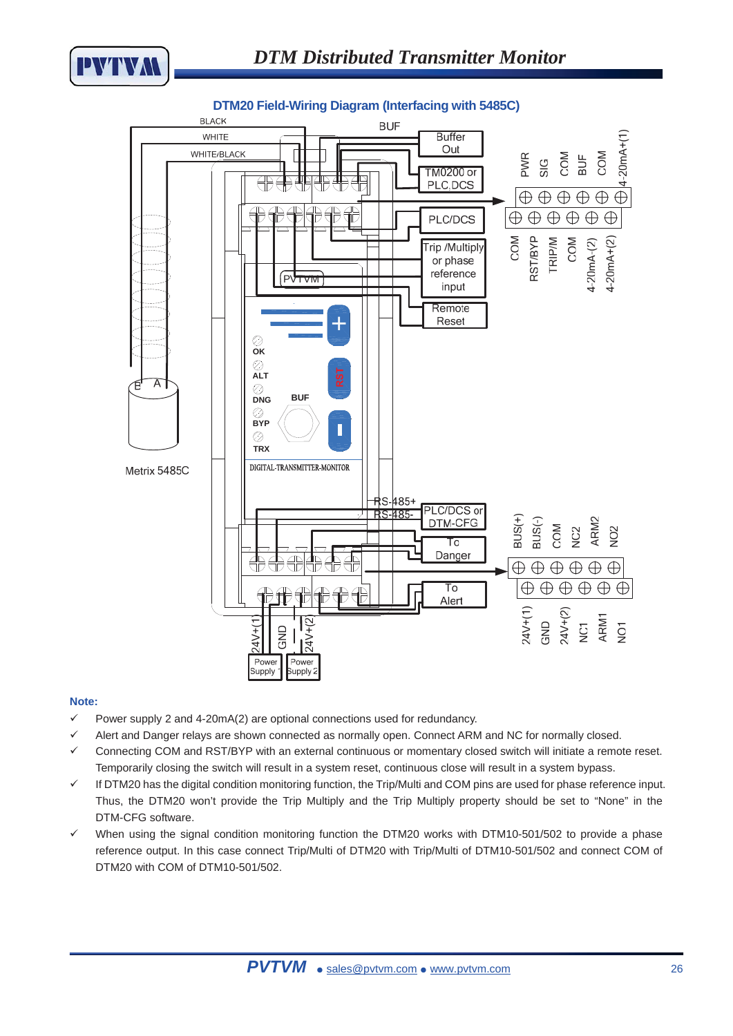



### **DTM20 Field-Wiring Diagram (Interfacing with 5485C)**

### **Note:**

- $\checkmark$  Power supply 2 and 4-20mA(2) are optional connections used for redundancy.
- $\checkmark$  Alert and Danger relays are shown connected as normally open. Connect ARM and NC for normally closed.
- 9 Connecting COM and RST/BYP with an external continuous or momentary closed switch will initiate a remote reset. Temporarily closing the switch will result in a system reset, continuous close will result in a system bypass.
- $\checkmark$  If DTM20 has the digital condition monitoring function, the Trip/Multi and COM pins are used for phase reference input. Thus, the DTM20 won't provide the Trip Multiply and the Trip Multiply property should be set to "None" in the DTM-CFG software.
- $\checkmark$  When using the signal condition monitoring function the DTM20 works with DTM10-501/502 to provide a phase reference output. In this case connect Trip/Multi of DTM20 with Trip/Multi of DTM10-501/502 and connect COM of DTM20 with COM of DTM10-501/502.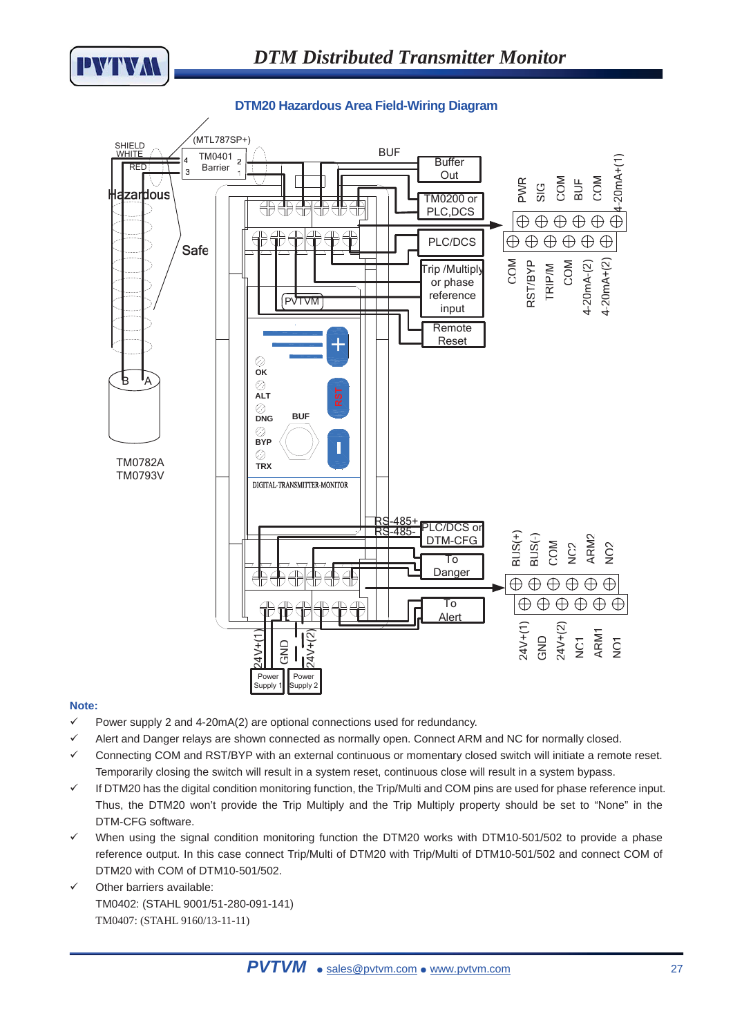

**DTM20 Hazardous Area Field-Wiring Diagram** 



### **Note:**

- $\checkmark$  Power supply 2 and 4-20mA(2) are optional connections used for redundancy.
- Alert and Danger relays are shown connected as normally open. Connect ARM and NC for normally closed.
- 9 Connecting COM and RST/BYP with an external continuous or momentary closed switch will initiate a remote reset. Temporarily closing the switch will result in a system reset, continuous close will result in a system bypass.
- $\checkmark$  If DTM20 has the digital condition monitoring function, the Trip/Multi and COM pins are used for phase reference input. Thus, the DTM20 won't provide the Trip Multiply and the Trip Multiply property should be set to "None" in the DTM-CFG software.
- $\checkmark$  When using the signal condition monitoring function the DTM20 works with DTM10-501/502 to provide a phase reference output. In this case connect Trip/Multi of DTM20 with Trip/Multi of DTM10-501/502 and connect COM of DTM20 with COM of DTM10-501/502.
- $\checkmark$  Other barriers available: TM0402: (STAHL 9001/51-280-091-141) TM0407: (STAHL 9160/13-11-11)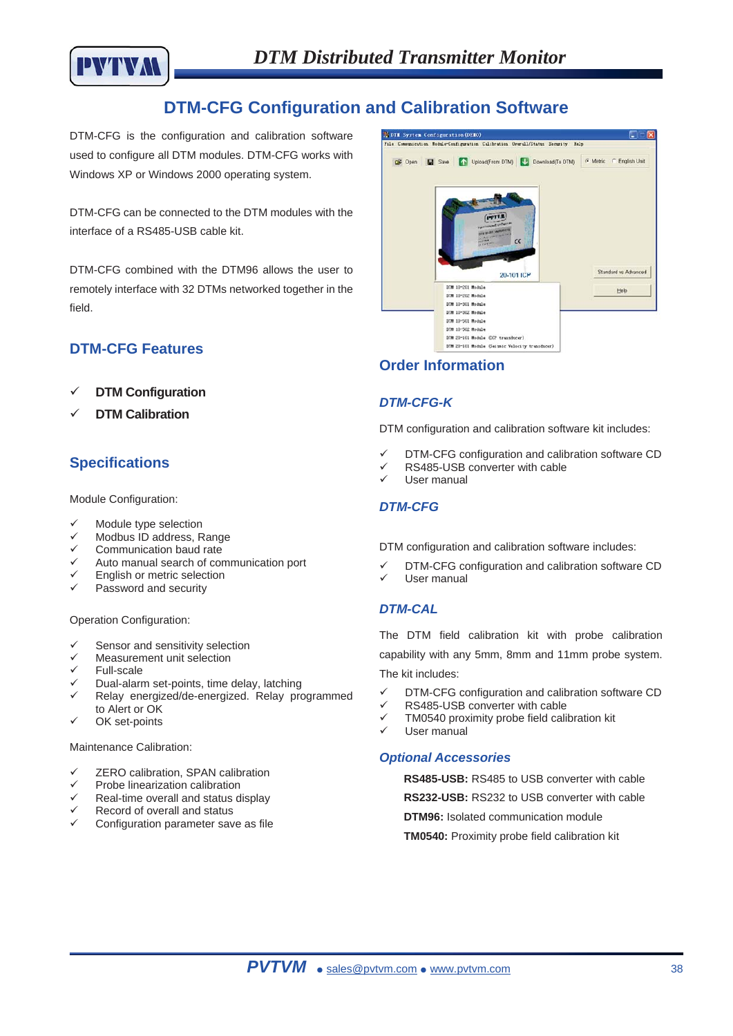

# **DTM-CFG Configuration and Calibration Software**

DTM-CFG is the configuration and calibration software used to configure all DTM modules. DTM-CFG works with Windows XP or Windows 2000 operating system.

DTM-CFG can be connected to the DTM modules with the interface of a RS485-USB cable kit.

DTM-CFG combined with the DTM96 allows the user to remotely interface with 32 DTMs networked together in the field.

### **DTM-CFG Features**

- 9 **DTM Configuration**
- **DTM Calibration**

### **Specifications**

Module Configuration:

- Module type selection
- Modbus ID address, Range
- Communication baud rate
- 9 Auto manual search of communication port
- English or metric selection
- Password and security

Operation Configuration:

- Sensor and sensitivity selection
- Measurement unit selection
- $\checkmark$  Full-scale
- Dual-alarm set-points, time delay, latching
- 9 Relay energized/de-energized. Relay programmed to Alert or OK
- $\checkmark$  OK set-points

Maintenance Calibration:

- ZERO calibration, SPAN calibration
- $\checkmark$  Probe linearization calibration
- Real-time overall and status display
- Record of overall and status
- Configuration parameter save as file



### **Order Information**

### *DTM-CFG-K*

DTM configuration and calibration software kit includes:

- DTM-CFG configuration and calibration software CD
- RS485-USB converter with cable
	- User manual

### *DTM-CFG*

DTM configuration and calibration software includes:

DTM-CFG configuration and calibration software CD User manual

### *DTM-CAL*

The DTM field calibration kit with probe calibration capability with any 5mm, 8mm and 11mm probe system. The kit includes:

- $\checkmark$  DTM-CFG configuration and calibration software CD
- $\checkmark$  RS485-USB converter with cable<br> $\checkmark$  TM0540 proximity probe field calif
- TM0540 proximity probe field calibration kit
- $\checkmark$  User manual

### *Optional Accessories*

**RS485-USB:** RS485 to USB converter with cable

**RS232-USB:** RS232 to USB converter with cable

**DTM96:** Isolated communication module

**TM0540:** Proximity probe field calibration kit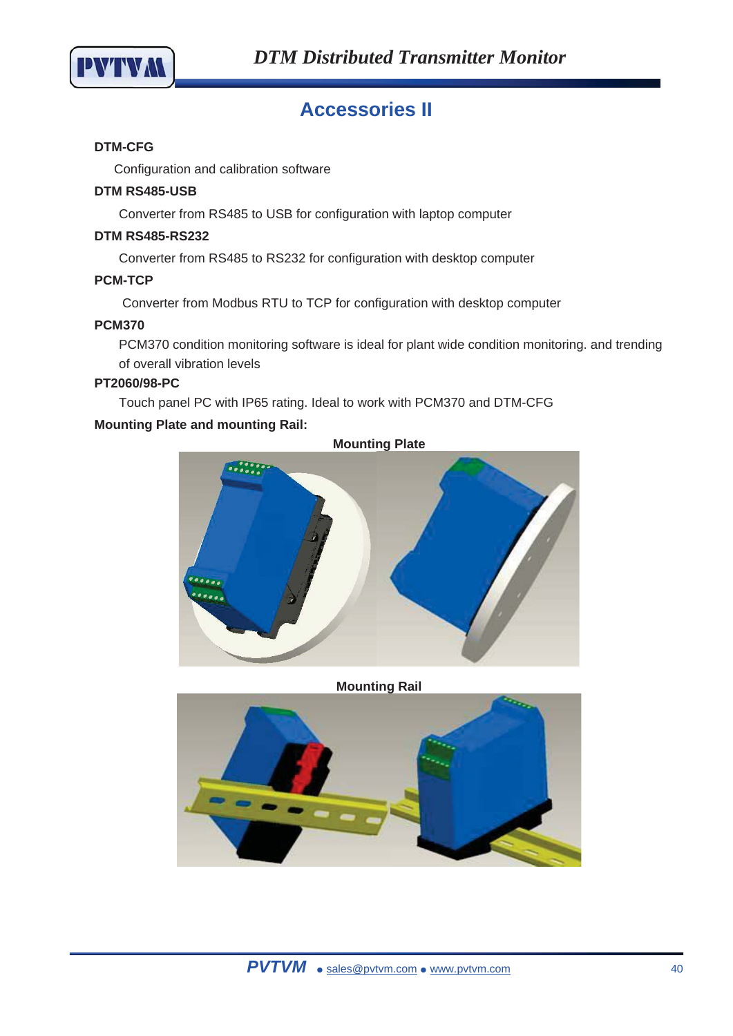

# **Accessories II**

### **DTM-CFG**

Configuration and calibration software

### **DTM RS485-USB**

Converter from RS485 to USB for configuration with laptop computer

### **DTM RS485-RS232**

Converter from RS485 to RS232 for configuration with desktop computer

### **PCM-TCP**

Converter from Modbus RTU to TCP for configuration with desktop computer

### **PCM370**

PCM370 condition monitoring software is ideal for plant wide condition monitoring. and trending of overall vibration levels

### **PT2060/98-PC**

Touch panel PC with IP65 rating. Ideal to work with PCM370 and DTM-CFG

### **Mounting Plate and mounting Rail:**



**Mounting Rail** 

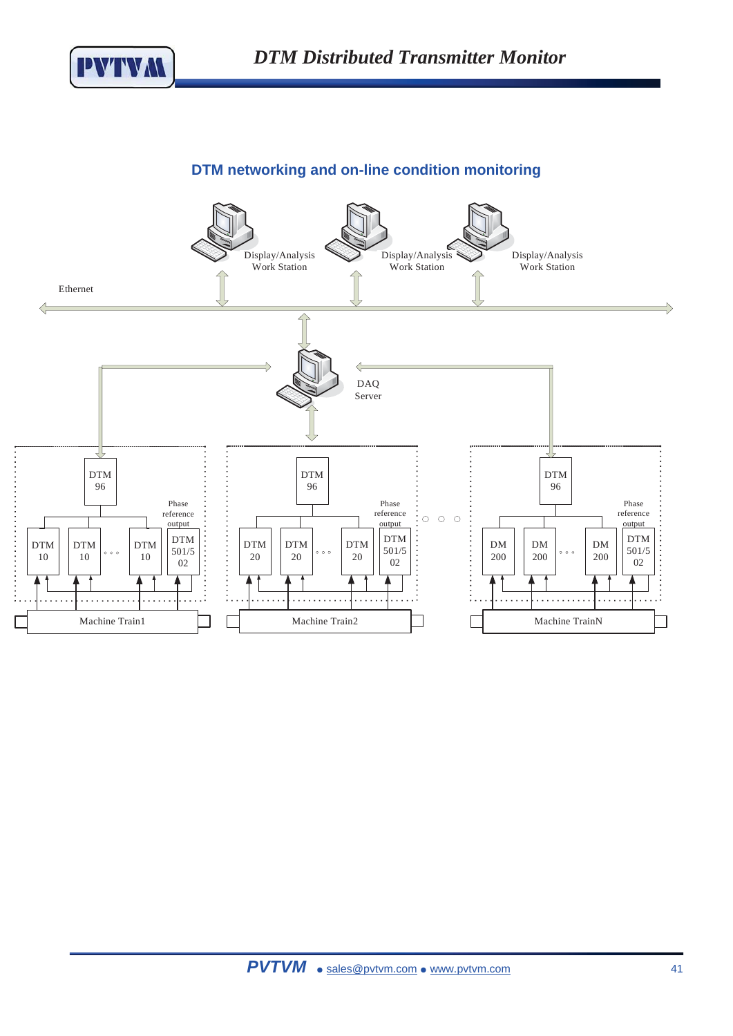

# **DTM networking and on-line condition monitoring**